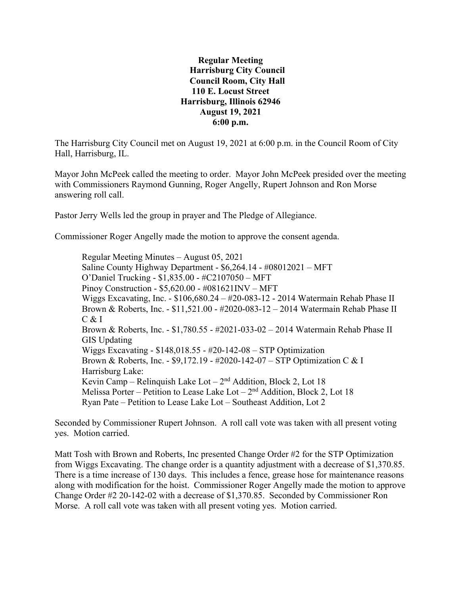**Regular Meeting Harrisburg City Council Council Room, City Hall 110 E. Locust Street Harrisburg, Illinois 62946 August 19, 2021 6:00 p.m.**

The Harrisburg City Council met on August 19, 2021 at 6:00 p.m. in the Council Room of City Hall, Harrisburg, IL.

Mayor John McPeek called the meeting to order. Mayor John McPeek presided over the meeting with Commissioners Raymond Gunning, Roger Angelly, Rupert Johnson and Ron Morse answering roll call.

Pastor Jerry Wells led the group in prayer and The Pledge of Allegiance.

Commissioner Roger Angelly made the motion to approve the consent agenda.

Regular Meeting Minutes – August 05, 2021 Saline County Highway Department - \$6,264.14 - #08012021 – MFT O'Daniel Trucking - \$1,835.00 - #C2107050 – MFT Pinoy Construction - \$5,620.00 - #081621INV – MFT Wiggs Excavating, Inc. - \$106,680.24 – #20-083-12 - 2014 Watermain Rehab Phase II Brown & Roberts, Inc. - \$11,521.00 - #2020-083-12 – 2014 Watermain Rehab Phase II  $C & I$ Brown & Roberts, Inc. - \$1,780.55 - #2021-033-02 – 2014 Watermain Rehab Phase II GIS Updating Wiggs Excavating - \$148,018.55 - #20-142-08 – STP Optimization Brown & Roberts, Inc. - \$9,172.19 - #2020-142-07 – STP Optimization C & I Harrisburg Lake: Kevin Camp – Relinquish Lake Lot –  $2<sup>nd</sup>$  Addition, Block 2, Lot 18 Melissa Porter – Petition to Lease Lake Lot –  $2<sup>nd</sup>$  Addition, Block 2, Lot 18 Ryan Pate – Petition to Lease Lake Lot – Southeast Addition, Lot 2

Seconded by Commissioner Rupert Johnson. A roll call vote was taken with all present voting yes. Motion carried.

Matt Tosh with Brown and Roberts, Inc presented Change Order #2 for the STP Optimization from Wiggs Excavating. The change order is a quantity adjustment with a decrease of \$1,370.85. There is a time increase of 130 days. This includes a fence, grease hose for maintenance reasons along with modification for the hoist. Commissioner Roger Angelly made the motion to approve Change Order #2 20-142-02 with a decrease of \$1,370.85. Seconded by Commissioner Ron Morse. A roll call vote was taken with all present voting yes. Motion carried.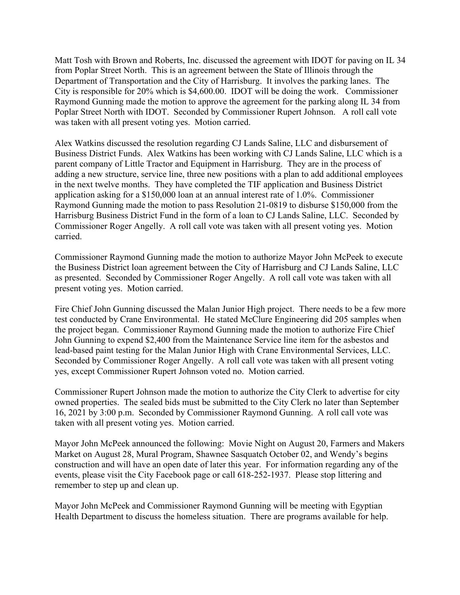Matt Tosh with Brown and Roberts, Inc. discussed the agreement with IDOT for paving on IL 34 from Poplar Street North. This is an agreement between the State of Illinois through the Department of Transportation and the City of Harrisburg. It involves the parking lanes. The City is responsible for 20% which is \$4,600.00. IDOT will be doing the work. Commissioner Raymond Gunning made the motion to approve the agreement for the parking along IL 34 from Poplar Street North with IDOT. Seconded by Commissioner Rupert Johnson. A roll call vote was taken with all present voting yes. Motion carried.

Alex Watkins discussed the resolution regarding CJ Lands Saline, LLC and disbursement of Business District Funds. Alex Watkins has been working with CJ Lands Saline, LLC which is a parent company of Little Tractor and Equipment in Harrisburg. They are in the process of adding a new structure, service line, three new positions with a plan to add additional employees in the next twelve months. They have completed the TIF application and Business District application asking for a \$150,000 loan at an annual interest rate of 1.0%. Commissioner Raymond Gunning made the motion to pass Resolution 21-0819 to disburse \$150,000 from the Harrisburg Business District Fund in the form of a loan to CJ Lands Saline, LLC. Seconded by Commissioner Roger Angelly. A roll call vote was taken with all present voting yes. Motion carried.

Commissioner Raymond Gunning made the motion to authorize Mayor John McPeek to execute the Business District loan agreement between the City of Harrisburg and CJ Lands Saline, LLC as presented. Seconded by Commissioner Roger Angelly. A roll call vote was taken with all present voting yes. Motion carried.

Fire Chief John Gunning discussed the Malan Junior High project. There needs to be a few more test conducted by Crane Environmental. He stated McClure Engineering did 205 samples when the project began. Commissioner Raymond Gunning made the motion to authorize Fire Chief John Gunning to expend \$2,400 from the Maintenance Service line item for the asbestos and lead-based paint testing for the Malan Junior High with Crane Environmental Services, LLC. Seconded by Commissioner Roger Angelly. A roll call vote was taken with all present voting yes, except Commissioner Rupert Johnson voted no. Motion carried.

Commissioner Rupert Johnson made the motion to authorize the City Clerk to advertise for city owned properties. The sealed bids must be submitted to the City Clerk no later than September 16, 2021 by 3:00 p.m. Seconded by Commissioner Raymond Gunning. A roll call vote was taken with all present voting yes. Motion carried.

Mayor John McPeek announced the following: Movie Night on August 20, Farmers and Makers Market on August 28, Mural Program, Shawnee Sasquatch October 02, and Wendy's begins construction and will have an open date of later this year. For information regarding any of the events, please visit the City Facebook page or call 618-252-1937. Please stop littering and remember to step up and clean up.

Mayor John McPeek and Commissioner Raymond Gunning will be meeting with Egyptian Health Department to discuss the homeless situation. There are programs available for help.